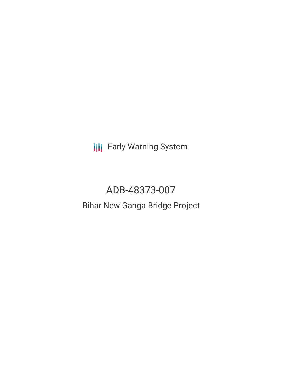**III** Early Warning System

# ADB-48373-007

# Bihar New Ganga Bridge Project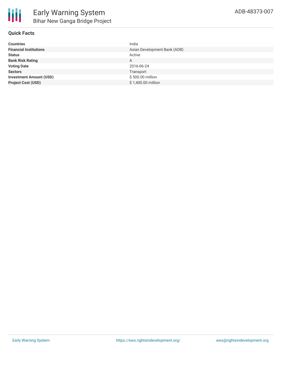

# **Quick Facts**

| <b>Countries</b>               | India                        |
|--------------------------------|------------------------------|
| <b>Financial Institutions</b>  | Asian Development Bank (ADB) |
| <b>Status</b>                  | Active                       |
| <b>Bank Risk Rating</b>        | A                            |
| <b>Voting Date</b>             | 2016-06-24                   |
| <b>Sectors</b>                 | Transport                    |
| <b>Investment Amount (USD)</b> | \$500.00 million             |
| <b>Project Cost (USD)</b>      | \$1,400.00 million           |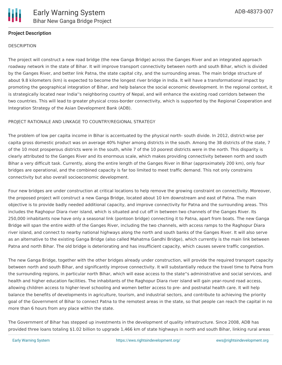

## **Project Description**

#### **DESCRIPTION**

The project will construct a new road bridge (the new Ganga Bridge) across the Ganges River and an integrated approach roadway network in the state of Bihar. It will improve transport connectivity between north and south Bihar, which is divided by the Ganges River, and better link Patna, the state capital city, and the surrounding areas. The main bridge structure of about 9.8 kilometers (km) is expected to become the longest river bridge in India. It will have a transformational impact by promoting the geographical integration of Bihar, and help balance the social economic development. In the regional context, it is strategically located near India''s neighboring country of Nepal, and will enhance the existing road corridors between the two countries. This will lead to greater physical cross-border connectivity, which is supported by the Regional Cooperation and Integration Strategy of the Asian Development Bank (ADB).

#### PROJECT RATIONALE AND LINKAGE TO COUNTRY/REGIONAL STRATEGY

The problem of low per capita income in Bihar is accentuated by the physical north- south divide. In 2012, district-wise per capita gross domestic product was on average 40% higher among districts in the south. Among the 38 districts of the state, 7 of the 10 most prosperous districts were in the south, while 7 of the 10 poorest districts were in the north. This disparity is clearly attributed to the Ganges River and its enormous scale, which makes providing connectivity between north and south Bihar a very difficult task. Currently, along the entire length of the Ganges River in Bihar (approximately 200 km), only four bridges are operational, and the combined capacity is far too limited to meet traffic demand. This not only constrains connectivity but also overall socioeconomic development.

Four new bridges are under construction at critical locations to help remove the growing constraint on connectivity. Moreover, the proposed project will construct a new Ganga Bridge, located about 10 km downstream and east of Patna. The main objective is to provide badly needed additional capacity, and improve connectivity for Patna and the surrounding areas. This includes the Raghopur Diara river island, which is situated and cut off in between two channels of the Ganges River. Its 250,000 inhabitants now have only a seasonal link (pontoon bridge) connecting it to Patna, apart from boats. The new Ganga Bridge will span the entire width of the Ganges River, including the two channels, with access ramps to the Raghopur Diara river island, and connect to nearby national highways along the north and south banks of the Ganges River. It will also serve as an alternative to the existing Ganga Bridge (also called Mahatma Gandhi Bridge), which currently is the main link between Patna and north Bihar. The old bridge is deteriorating and has insufficient capacity, which causes severe traffic congestion.

The new Ganga Bridge, together with the other bridges already under construction, will provide the required transport capacity between north and south Bihar, and significantly improve connectivity. It will substantially reduce the travel time to Patna from the surrounding regions, in particular north Bihar, which will ease access to the state''s administrative and social services, and health and higher education facilities. The inhabitants of the Raghopur Diara river island will gain year-round road access, allowing children access to higher-level schooling and women better access to pre- and postnatal health care. It will help balance the benefits of developments in agriculture, tourism, and industrial sectors, and contribute to achieving the priority goal of the Government of Bihar to connect Patna to the remotest areas in the state, so that people can reach the capital in no more than 6 hours from any place within the state.

The Government of Bihar has stepped up investments in the development of quality infrastructure. Since 2008, ADB has provided three loans totaling \$1.02 billion to upgrade 1,466 km of state highways in north and south Bihar, linking rural areas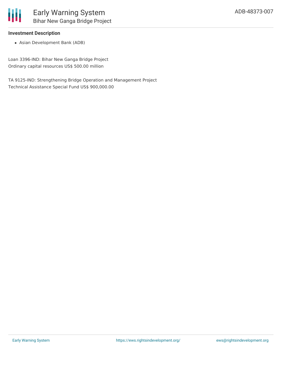

#### **Investment Description**

Asian Development Bank (ADB)

Loan 3396-IND: Bihar New Ganga Bridge Project Ordinary capital resources US\$ 500.00 million

TA 9125-IND: Strengthening Bridge Operation and Management Project Technical Assistance Special Fund US\$ 900,000.00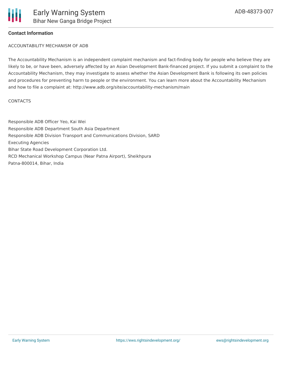### **Contact Information**

ACCOUNTABILITY MECHANISM OF ADB

The Accountability Mechanism is an independent complaint mechanism and fact-finding body for people who believe they are likely to be, or have been, adversely affected by an Asian Development Bank-financed project. If you submit a complaint to the Accountability Mechanism, they may investigate to assess whether the Asian Development Bank is following its own policies and procedures for preventing harm to people or the environment. You can learn more about the Accountability Mechanism and how to file a complaint at: http://www.adb.org/site/accountability-mechanism/main

#### **CONTACTS**

Responsible ADB Officer Yeo, Kai Wei Responsible ADB Department South Asia Department Responsible ADB Division Transport and Communications Division, SARD Executing Agencies Bihar State Road Development Corporation Ltd. RCD Mechanical Workshop Campus (Near Patna Airport), Sheikhpura Patna-800014, Bihar, India